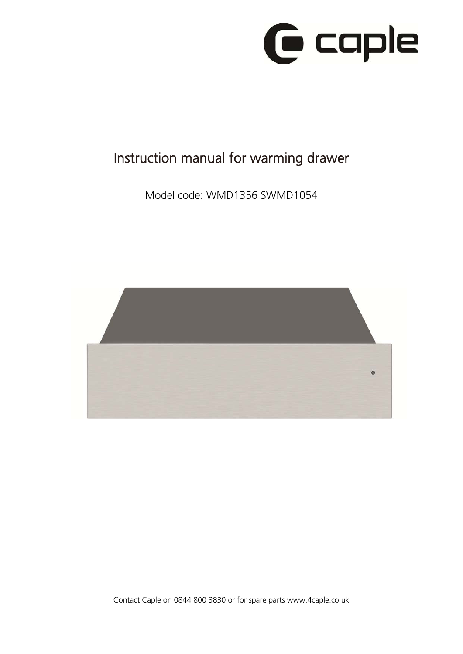

# Instruction manual for warming drawer

Model code: WMD1356 SWMD1054



Contact Caple on 0844 800 3830 or for spare parts www.4caple.co.uk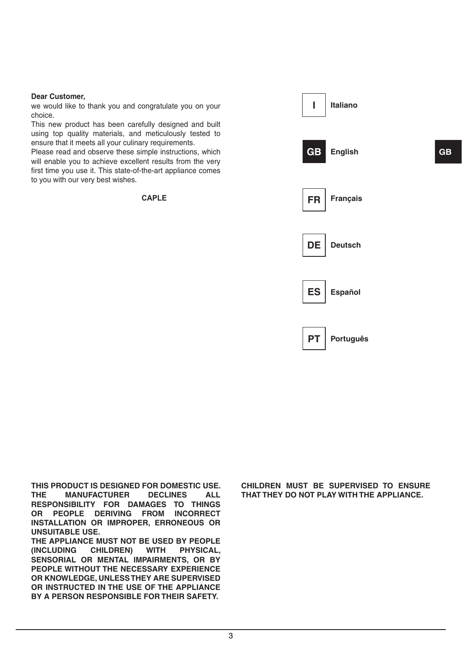#### **Dear Customer,**

we would like to thank you and congratulate you on your choice.

This new product has been carefully designed and built using top quality materials, and meticulously tested to ensure that it meets all your culinary requirements.

Please read and observe these simple instructions, which will enable you to achieve excellent results from the very first time you use it. This state-of-the-art appliance comes to you with our very best wishes.

CAPLE



**THIS PRODUCT IS DESIGNED FOR DOMESTIC USE. MANUFACTURER RESPONSIBILITY FOR DAMAGES TO THINGS OR PEOPLE DERIVING FROM INCORRECT INSTALLATION OR IMPROPER, ERRONEOUS OR UNSUITABLE USE.** 

**THE APPLIANCE MUST NOT BE USED BY PEOPLE (INCLUDING CHILDREN) WITH PHYSICAL, SENSORIAL OR MENTAL IMPAIRMENTS, OR BY PEOPLE WITHOUT THE NECESSARY EXPERIENCE OR KNOWLEDGE, UNLESS THEY ARE SUPERVISED OR INSTRUCTED IN THE USE OF THE APPLIANCE BY A PERSON RESPONSIBLE FOR THEIR SAFETY.** 

**CHILDREN MUST BE SUPERVISED TO ENSURE THAT THEY DO NOT PLAY WITH THE APPLIANCE.**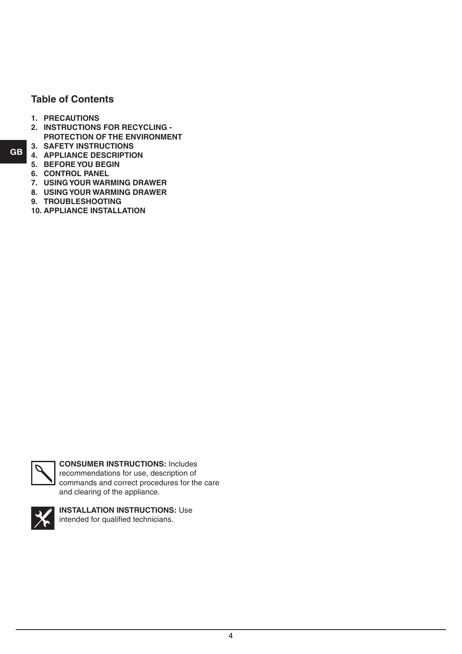# **Table of Contents**

- **1. Precautions**
- **2. INSTRUCTIONS FOR RECYCLING PROTECTION OF THE ENVIRONMENT**
- **3. Safety Instructions**
- **4. Appliance DescrIption**
- **5. Beforeyou Begin**
- **6. Control Panel**
- **7. Using your Warming Drawer**
- **8. Using your Warming Drawer**
- **9. Troubleshooting**
- **10. Appliance Installation**



**CONSUMER INSTRUCTIONS:** Includes recommendations for use, description of commands and correct procedures for the care and clearing of the appliance.



**INSTALLATION INSTRUCTIONS:** Use intended for qualified technicians.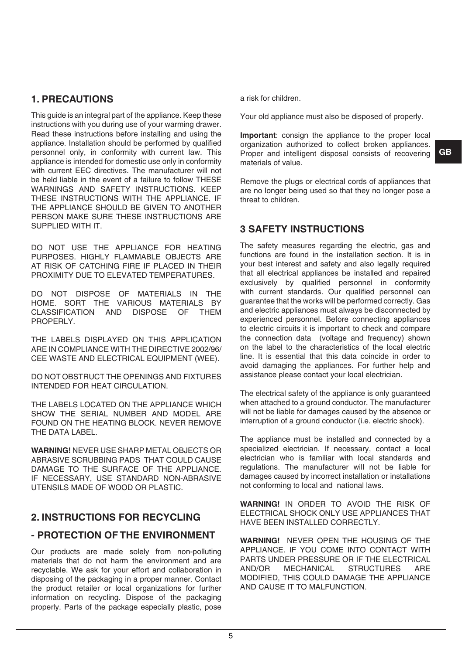## **1. Precautions**

This guide is an integral part of the appliance. Keep these instructions with you during use of your warming drawer. Read these instructions before installing and using the appliance. Installation should be performed by qualified personnel only, in conformity with current law. This appliance is intended for domestic use only in conformity with current EEC directives. The manufacturer will not be held liable in the event of a failure to follow THESE WARNINGS AND SAFETY INSTRUCTIONS. KEEP THESE INSTRUCTIONS WITH THE APPLIANCE. IF THE APPLIANCE SHOULD BE GIVEN TO ANOTHER PERSON MAKE SURE THESE INSTRUCTIONS ARE SUPPLIED WITH IT.

DO NOT USE THE APPLIANCE FOR HEATING PURPOSES. HIGHLY FLAMMABLE OBJECTS ARE AT RISK OF CATCHING FIRE IF PLACED IN THEIR PROXIMITY DUE TO ELEVATED TEMPERATURES.

DO NOT DISPOSE OF MATERIALS IN THE HOME. SORT THE VARIOUS MATERIALS BY CLASSIFICATION AND DISPOSE OF PROPERLY.

THE LABELS DISPLAYED ON THIS APPLICATION ARE IN COMPLIANCE WITH THE DIRECTIVE 2002/96/ CEE WASTE AND ELECTRICAL EQUIPMENT (WEE).

DO NOT OBSTRUCT THE OPENINGS AND FIXTURES INTENDED FOR HEAT CIRCULATION.

THE LABELS LOCATED ON THE APPLIANCE WHICH SHOW THE SERIAL NUMBER AND MODEL ARE FOUND ON THE HEATING BLOCK. Never remove the data label.

**WARNING!** NEVER USE SHARP METAL OBJECTS OR ABRASIVE SCRUBBING PADS THAT COULD CAUSE DAMAGE TO THE SURFACE OF THE APPLIANCE. IF NECESSARY, USE STANDARD NON-ABRASIVE UTENSILS MADE OF WOOD OR PLASTIC.

## **2. INSTRUCTIONS FOR RECYCLING**

# **- PROTECTION OF THE ENVIRONMENT**

Our products are made solely from non-polluting materials that do not harm the environment and are recyclable. We ask for your effort and collaboration in disposing of the packaging in a proper manner. Contact the product retailer or local organizations for further information on recycling. Dispose of the packaging properly. Parts of the package especially plastic, pose

a risk for children.

Your old appliance must also be disposed of properly.

**Important**: consign the appliance to the proper local organization authorized to collect broken appliances. Proper and intelligent disposal consists of recovering materials of value.

Remove the plugs or electrical cords of appliances that are no longer being used so that they no longer pose a threat to children.

## **3 Safety Instructions**

The safety measures regarding the electric, gas and functions are found in the installation section. It is in your best interest and safety and also legally required that all electrical appliances be installed and repaired exclusively by qualified personnel in conformity with current standards. Our qualified personnel can guarantee that the works will be performed correctly. Gas and electric appliances must always be disconnected by experienced personnel. Before connecting appliances to electric circuits it is important to check and compare the connection data (voltage and frequency) shown on the label to the characteristics of the local electric line. It is essential that this data coincide in order to avoid damaging the appliances. For further help and assistance please contact your local electrician.

The electrical safety of the appliance is only guaranteed when attached to a ground conductor. The manufacturer will not be liable for damages caused by the absence or interruption of a ground conductor (i.e. electric shock).

The appliance must be installed and connected by a specialized electrician. If necessary, contact a local electrician who is familiar with local standards and regulations. The manufacturer will not be liable for damages caused by incorrect installation or installations not conforming to local and national laws.

**WARNING!** IN ORDER TO AVOID THE RISK OF ELECTRICAL SHOCK ONLY USE APPLIANCES THAT HAVE BEEN INSTALLED CORRECTLY.

**WARNING!** NEVER OPEN THE HOUSING OF THE APPLIANCE. IF YOU COME INTO CONTACT WITH PARTS UNDER PRESSURE OR IF THE ELECTRICAL AND/OR MECHANICAL STRUCTURES ARE MODIFIED, THIS COULD DAMAGE THE APPLIANCE AND CAUSE IT TO MALFUNCTION.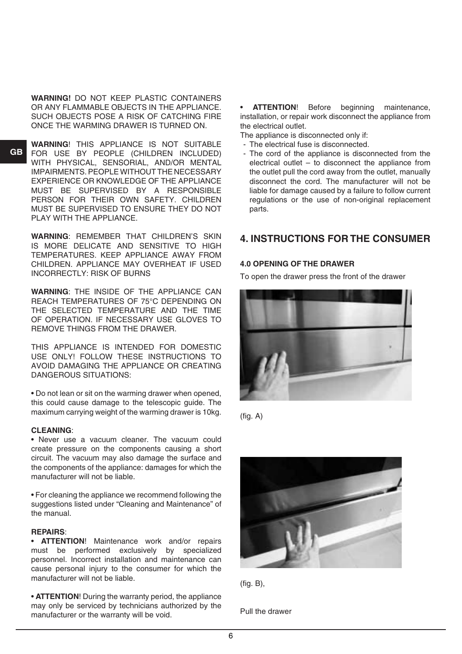**WARNING!** DO NOT KEEP PLASTIC CONTAINERS OR ANY FLAMMABLE OBJECTS IN THE APPLIANCE. SUCH OBJECTS POSE A RISK OF CATCHING FIRE ONCE THE WARMING DRAWER IS TURNED ON.

**GB**

**WARNING**! THIS APPLIANCE IS NOT SUITABLE FOR USE BY PEOPLE (CHILDREN INCLUDED) WITH PHYSICAL, SENSORIAL, AND/OR MENTAL IMPAIRMENTS. PEOPLE WITHOUT THE NECESSARY EXPERIENCE OR KNOWLEDGE OF THE APPLIANCE MUST BE SUPERVISED BY A RESPONSIBLE PERSON FOR THEIR OWN SAFETY. CHILDREN MUST BE SUPERVISED TO ENSURE THEY DO NOT PLAY WITH THE APPLIANCE.

**WARNING**: REMEMBER THAT CHILDREN'S SKIN IS MORE DELICATE AND SENSITIVE TO HIGH TEMPERATURES. KEEP APPLIANCE AWAY FROM CHILDREN. APPLIANCE MAY OVERHEAT IF USED INCORRECTLY: RISK OF BURNS

**WARNING**: THE INSIDE OF THE APPLIANCE CAN REACH TEMPERATURES OF 75°C DEPENDING ON THE SELECTED TEMPERATURE AND THE TIME OF OPERATION. IF NECESSARY USE GLOVES TO REMOVE THINGS FROM THE DRAWER.

THIS APPLIANCE IS INTENDED FOR DOMESTIC USE ONLY! FOLLOW THESE INSTRUCTIONS TO AVOID DAMAGING THE APPLIANCE OR CREATING DANGEROUS SITUATIONS:

• Do not lean or sit on the warming drawer when opened, this could cause damage to the telescopic guide. The maximum carrying weight of the warming drawer is 10kg.

#### **CLEANING**:

• Never use a vacuum cleaner. The vacuum could create pressure on the components causing a short circuit. The vacuum may also damage the surface and the components of the appliance: damages for which the manufacturer will not be liable.

• For cleaning the appliance we recommend following the suggestions listed under "Cleaning and Maintenance" of the manual.

#### **REPAIRS**:

• **ATTENTION**! Maintenance work and/or repairs must be performed exclusively by specialized personnel. Incorrect installation and maintenance can cause personal injury to the consumer for which the manufacturer will not be liable.

• **ATTENTION**! During the warranty period, the appliance may only be serviced by technicians authorized by the manufacturer or the warranty will be void.

• **ATTENTION**! Before beginning maintenance, installation, or repair work disconnect the appliance from the electrical outlet.

The appliance is disconnected only if:

- The electrical fuse is disconnected.
- The cord of the appliance is disconnected from the electrical outlet  $-$  to disconnect the appliance from the outlet pull the cord away from the outlet, manually disconnect the cord. The manufacturer will not be liable for damage caused by a failure to follow current regulations or the use of non-original replacement parts.

## **4. Instructions for the Consumer**

#### **4.0 OPENING OF THE DRAWER**

To open the drawer press the front of the drawer



(fig. A)





Pull the drawer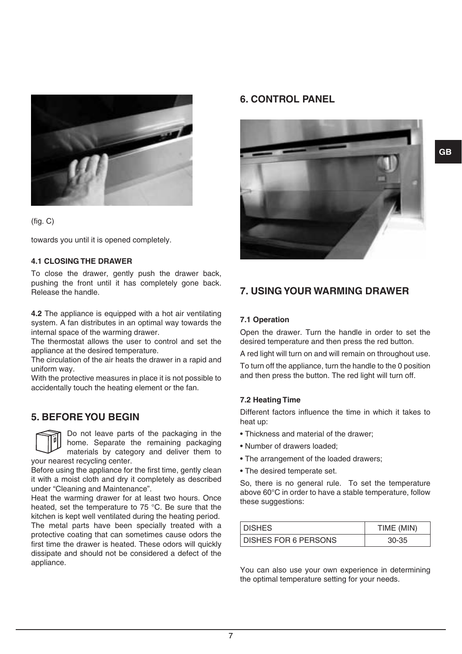



towards you until it is opened completely.

#### **4.1 CLOSING THE DRAWER**

To close the drawer, gently push the drawer back, pushing the front until it has completely gone back. Release the handle.

**4.2** The appliance is equipped with a hot air ventilating system. A fan distributes in an optimal way towards the internal space of the warming drawer.

The thermostat allows the user to control and set the appliance at the desired temperature.

The circulation of the air heats the drawer in a rapid and uniform way.

With the protective measures in place it is not possible to accidentally touch the heating element or the fan.

## **5. Beforeyou Begin**

Do not leave parts of the packaging in the home. Separate the remaining packaging materials by category and deliver them to your nearest recycling center.

Before using the appliance for the first time, gently clean it with a moist cloth and dry it completely as described under "Cleaning and Maintenance".

Heat the warming drawer for at least two hours. Once heated, set the temperature to 75 °C. Be sure that the kitchen is kept well ventilated during the heating period. The metal parts have been specially treated with a protective coating that can sometimes cause odors the first time the drawer is heated. These odors will quickly dissipate and should not be considered a defect of the appliance.

## **6. Control Panel**



## **7. Using your Warming Drawer**

#### **7.1 Operation**

Open the drawer. Turn the handle in order to set the desired temperature and then press the red button.

A red light will turn on and will remain on throughout use.

To turn off the appliance, turn the handle to the 0 position and then press the button. The red light will turn off.

#### **7.2 Heating Time**

Different factors influence the time in which it takes to heat up:

- Thickness and material of the drawer;
- Number of drawers loaded;
- The arrangement of the loaded drawers;
- The desired temperate set.

So, there is no general rule. To set the temperature above 60°C in order to have a stable temperature, follow these suggestions:

| <b>DISHES</b>          | TIME (MIN) |
|------------------------|------------|
| I DISHES FOR 6 PERSONS | $30-35$    |

You can also use your own experience in determining the optimal temperature setting for your needs.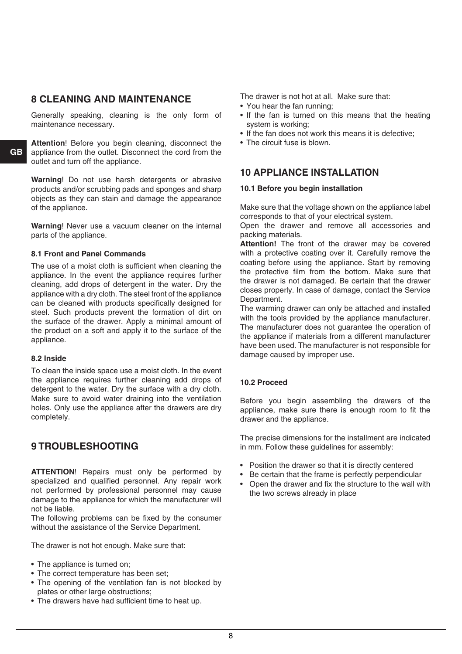## **8 Cleaning and Maintenance**

Generally speaking, cleaning is the only form of maintenance necessary.

**Attention**! Before you begin cleaning, disconnect the appliance from the outlet. Disconnect the cord from the outlet and turn off the appliance.

**Warning**! Do not use harsh detergents or abrasive products and/or scrubbing pads and sponges and sharp objects as they can stain and damage the appearance of the appliance.

**Warning**! Never use a vacuum cleaner on the internal parts of the appliance.

#### **8.1 Front and Panel Commands**

The use of a moist cloth is sufficient when cleaning the appliance. In the event the appliance requires further cleaning, add drops of detergent in the water. Dry the appliance with a dry cloth. The steel front of the appliance can be cleaned with products specifically designed for steel. Such products prevent the formation of dirt on the surface of the drawer. Apply a minimal amount of the product on a soft and apply it to the surface of the appliance.

#### **8.2 Inside**

To clean the inside space use a moist cloth. In the event the appliance requires further cleaning add drops of detergent to the water. Dry the surface with a dry cloth. Make sure to avoid water draining into the ventilation holes. Only use the appliance after the drawers are dry completely.

## **9 Troubleshooting**

**ATTENTION**! Repairs must only be performed by specialized and qualified personnel. Any repair work not performed by professional personnel may cause damage to the appliance for which the manufacturer will not be liable.

The following problems can be fixed by the consumer without the assistance of the Service Department.

The drawer is not hot enough. Make sure that:

- The appliance is turned on:
- The correct temperature has been set;
- The opening of the ventilation fan is not blocked by plates or other large obstructions;
- The drawers have had sufficient time to heat up.

The drawer is not hot at all. Make sure that:

- You hear the fan running;
- If the fan is turned on this means that the heating system is working;
- If the fan does not work this means it is defective;
- The circuit fuse is blown.

### **10 Appliance Installation**

#### **10.1 Before you begin installation**

Make sure that the voltage shown on the appliance label corresponds to that of your electrical system.

Open the drawer and remove all accessories and packing materials.

**Attention!** The front of the drawer may be covered with a protective coating over it. Carefully remove the coating before using the appliance. Start by removing the protective film from the bottom. Make sure that the drawer is not damaged. Be certain that the drawer closes properly. In case of damage, contact the Service Department.

The warming drawer can only be attached and installed with the tools provided by the appliance manufacturer. The manufacturer does not guarantee the operation of the appliance if materials from a different manufacturer have been used. The manufacturer is not responsible for damage caused by improper use.

#### **10.2 Proceed**

Before you begin assembling the drawers of the appliance, make sure there is enough room to fit the drawer and the appliance.

The precise dimensions for the installment are indicated in mm. Follow these guidelines for assembly:

- Position the drawer so that it is directly centered
- Be certain that the frame is perfectly perpendicular
- Open the drawer and fix the structure to the wall with the two screws already in place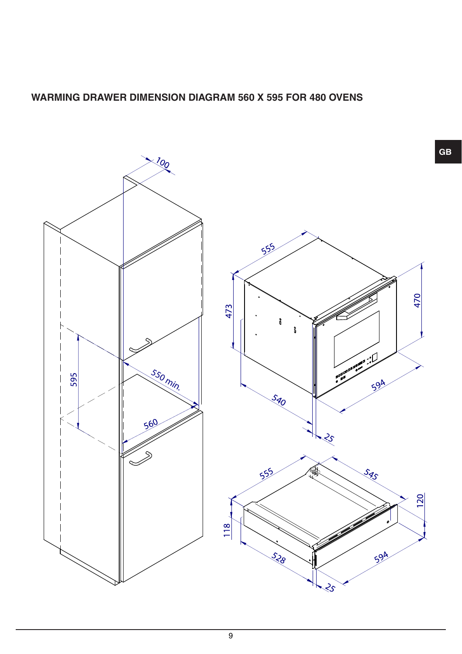# **WARMING DRAWER DIMENSION DIAGRAM 560 X 595 FOR 480 OVENS**

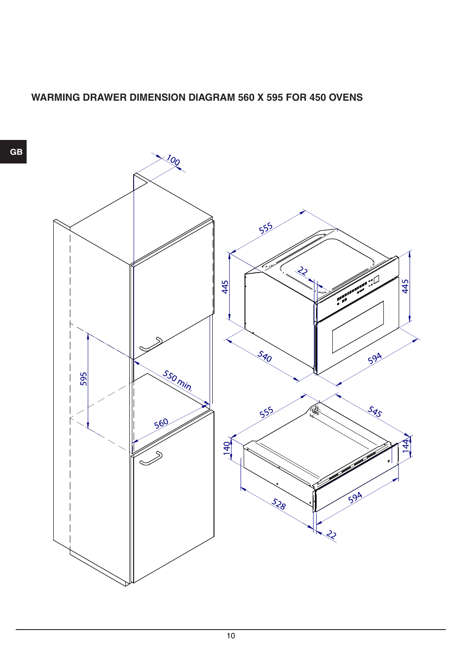# **WARMING DRAWER DIMENSION DIAGRAM 560 X 595 FOR 450 OVENS**

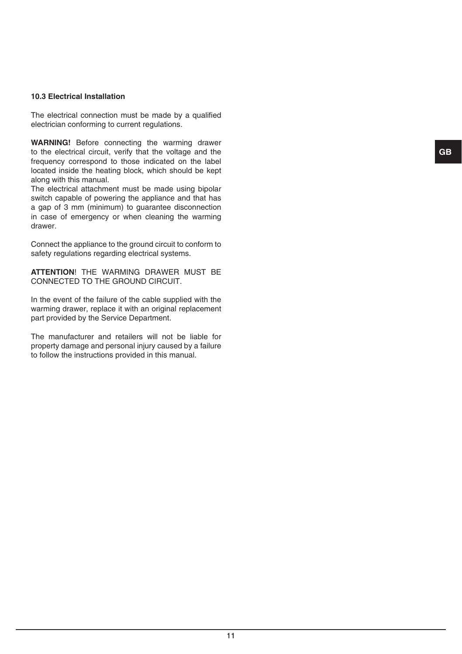#### **10.3 Electrical Installation**

The electrical connection must be made by a qualified electrician conforming to current regulations.

**WARNING!** Before connecting the warming drawer to the electrical circuit, verify that the voltage and the frequency correspond to those indicated on the label located inside the heating block, which should be kept along with this manual.

The electrical attachment must be made using bipolar switch capable of powering the appliance and that has a gap of 3 mm (minimum) to guarantee disconnection in case of emergency or when cleaning the warming drawer.

Connect the appliance to the ground circuit to conform to safety regulations regarding electrical systems.

**ATTENTION**! THE WARMING DRAWER MUST BE CONNECTED TO THE GROUND CIRCUIT.

In the event of the failure of the cable supplied with the warming drawer, replace it with an original replacement part provided by the Service Department.

The manufacturer and retailers will not be liable for property damage and personal injury caused by a failure to follow the instructions provided in this manual.